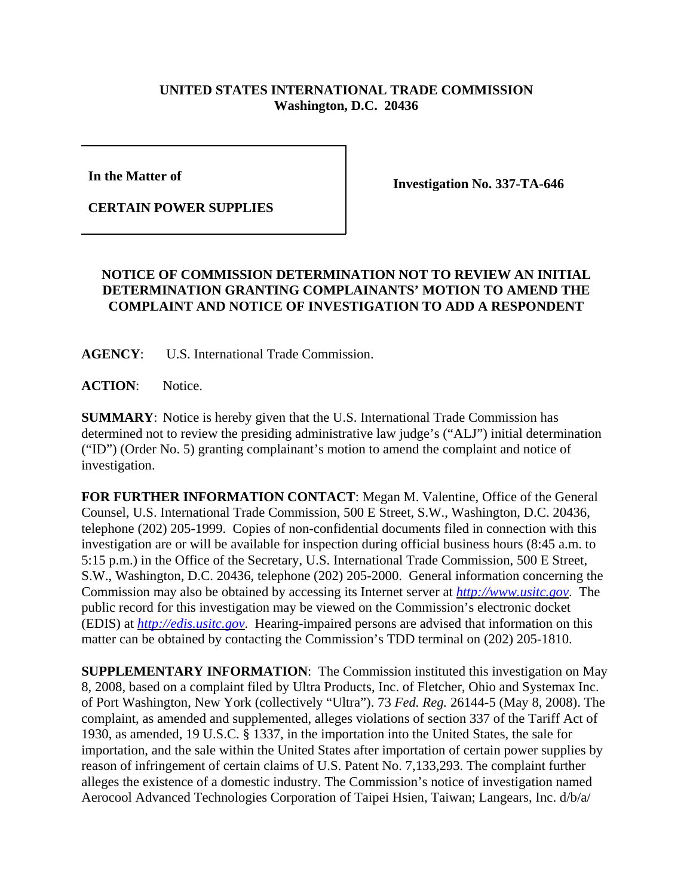## **UNITED STATES INTERNATIONAL TRADE COMMISSION Washington, D.C. 20436**

**In the Matter of** 

**CERTAIN POWER SUPPLIES**

**Investigation No. 337-TA-646**

## **NOTICE OF COMMISSION DETERMINATION NOT TO REVIEW AN INITIAL DETERMINATION GRANTING COMPLAINANTS' MOTION TO AMEND THE COMPLAINT AND NOTICE OF INVESTIGATION TO ADD A RESPONDENT**

**AGENCY**: U.S. International Trade Commission.

**ACTION**: Notice.

**SUMMARY**: Notice is hereby given that the U.S. International Trade Commission has determined not to review the presiding administrative law judge's ("ALJ") initial determination ("ID") (Order No. 5) granting complainant's motion to amend the complaint and notice of investigation.

**FOR FURTHER INFORMATION CONTACT**: Megan M. Valentine, Office of the General Counsel, U.S. International Trade Commission, 500 E Street, S.W., Washington, D.C. 20436, telephone (202) 205-1999. Copies of non-confidential documents filed in connection with this investigation are or will be available for inspection during official business hours (8:45 a.m. to 5:15 p.m.) in the Office of the Secretary, U.S. International Trade Commission, 500 E Street, S.W., Washington, D.C. 20436, telephone (202) 205-2000. General information concerning the Commission may also be obtained by accessing its Internet server at *http://www.usitc.gov*. The public record for this investigation may be viewed on the Commission's electronic docket (EDIS) at *http://edis.usitc.gov*. Hearing-impaired persons are advised that information on this matter can be obtained by contacting the Commission's TDD terminal on (202) 205-1810.

**SUPPLEMENTARY INFORMATION**: The Commission instituted this investigation on May 8, 2008, based on a complaint filed by Ultra Products, Inc. of Fletcher, Ohio and Systemax Inc. of Port Washington, New York (collectively "Ultra"). 73 *Fed. Reg.* 26144-5 (May 8, 2008). The complaint, as amended and supplemented, alleges violations of section 337 of the Tariff Act of 1930, as amended, 19 U.S.C. § 1337, in the importation into the United States, the sale for importation, and the sale within the United States after importation of certain power supplies by reason of infringement of certain claims of U.S. Patent No. 7,133,293. The complaint further alleges the existence of a domestic industry. The Commission's notice of investigation named Aerocool Advanced Technologies Corporation of Taipei Hsien, Taiwan; Langears, Inc. d/b/a/